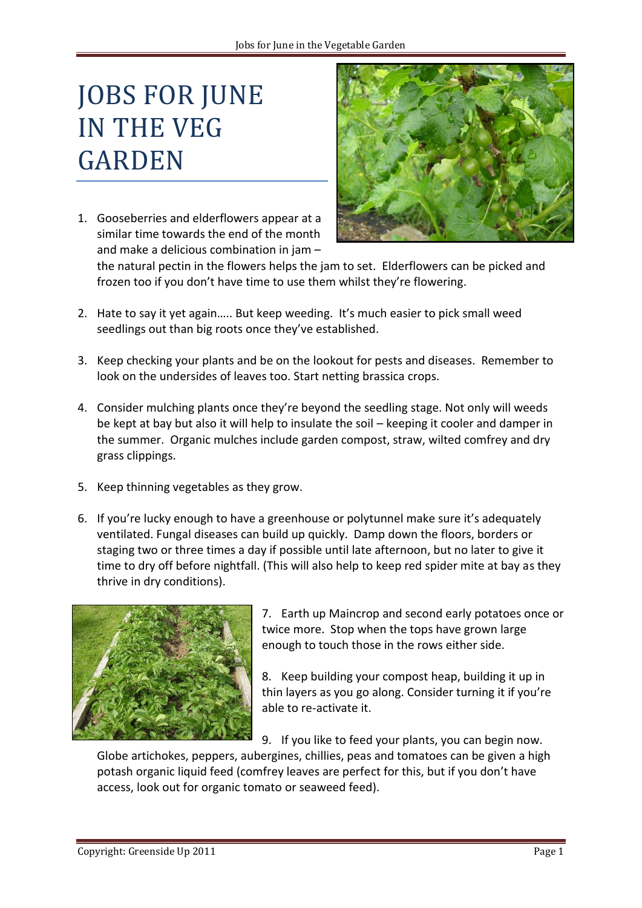## JOBS FOR JUNE IN THE VEG GARDEN

1. Gooseberries and elderflowers appear at a similar time towards the end of the month and make a delicious combination in jam –



the natural pectin in the flowers helps the jam to set. Elderflowers can be picked and frozen too if you don't have time to use them whilst they're flowering.

- 2. Hate to say it yet again….. But keep weeding. It's much easier to pick small weed seedlings out than big roots once they've established.
- 3. Keep checking your plants and be on the lookout for pests and diseases. Remember to look on the undersides of leaves too. Start netting brassica crops.
- 4. Consider mulching plants once they're beyond the seedling stage. Not only will weeds be kept at bay but also it will help to insulate the soil – keeping it cooler and damper in the summer. Organic mulches include garden compost, straw, wilted comfrey and dry grass clippings.
- 5. Keep thinning vegetables as they grow.
- 6. If you're lucky enough to have a greenhouse or polytunnel make sure it's adequately ventilated. Fungal diseases can build up quickly. Damp down the floors, borders or staging two or three times a day if possible until late afternoon, but no later to give it time to dry off before nightfall. (This will also help to keep red spider mite at bay as they thrive in dry conditions).



7. Earth up Maincrop and second early potatoes once or twice more. Stop when the tops have grown large enough to touch those in the rows either side.

8. Keep building your compost heap, building it up in thin layers as you go along. Consider turning it if you're able to re-activate it.

9. If you like to feed your plants, you can begin now.

Globe artichokes, peppers, aubergines, chillies, peas and tomatoes can be given a high potash organic liquid feed (comfrey leaves are perfect for this, but if you don't have access, look out for organic tomato or seaweed feed).